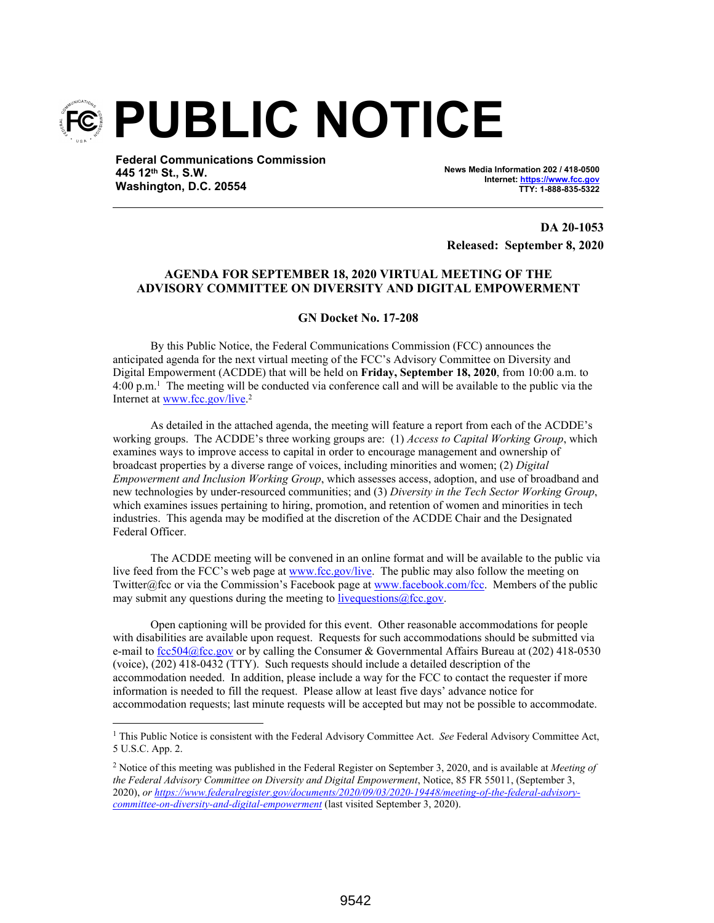

**Federal Communications Commission 445 12th St., S.W. Washington, D.C. 20554**

**News Media Information 202 / 418-0500 Internet: https://www.fcc.gov TTY: 1-888-835-5322**

**DA 20-1053 Released: September 8, 2020**

#### **AGENDA FOR SEPTEMBER 18, 2020 VIRTUAL MEETING OF THE ADVISORY COMMITTEE ON DIVERSITY AND DIGITAL EMPOWERMENT**

**GN Docket No. 17-208**

By this Public Notice, the Federal Communications Commission (FCC) announces the anticipated agenda for the next virtual meeting of the FCC's Advisory Committee on Diversity and Digital Empowerment (ACDDE) that will be held on **Friday, September 18, 2020**, from 10:00 a.m. to 4:00 p.m.<sup>1</sup> The meeting will be conducted via conference call and will be available to the public via the Internet at www.fcc.gov/live.<sup>2</sup>

As detailed in the attached agenda, the meeting will feature a report from each of the ACDDE's working groups. The ACDDE's three working groups are: (1) *Access to Capital Working Group*, which examines ways to improve access to capital in order to encourage management and ownership of broadcast properties by a diverse range of voices, including minorities and women; (2) *Digital Empowerment and Inclusion Working Group*, which assesses access, adoption, and use of broadband and new technologies by under-resourced communities; and (3) *Diversity in the Tech Sector Working Group*, which examines issues pertaining to hiring, promotion, and retention of women and minorities in tech industries. This agenda may be modified at the discretion of the ACDDE Chair and the Designated Federal Officer.

The ACDDE meeting will be convened in an online format and will be available to the public via live feed from the FCC's web page at www.fcc.gov/live. The public may also follow the meeting on Twitter@fcc or via the Commission's Facebook page at www.facebook.com/fcc. Members of the public may submit any questions during the meeting to live questions  $@$  fcc.gov.

Open captioning will be provided for this event. Other reasonable accommodations for people with disabilities are available upon request. Requests for such accommodations should be submitted via e-mail to fcc504@fcc.gov or by calling the Consumer & Governmental Affairs Bureau at (202) 418-0530 (voice), (202) 418-0432 (TTY). Such requests should include a detailed description of the accommodation needed. In addition, please include a way for the FCC to contact the requester if more information is needed to fill the request. Please allow at least five days' advance notice for accommodation requests; last minute requests will be accepted but may not be possible to accommodate.

<sup>&</sup>lt;sup>1</sup> This Public Notice is consistent with the Federal Advisory Committee Act. *See* Federal Advisory Committee Act, 5 U.S.C. App. 2.

<sup>2</sup> Notice of this meeting was published in the Federal Register on September 3, 2020, and is available at *Meeting of the Federal Advisory Committee on Diversity and Digital Empowerment*, Notice, 85 FR 55011, (September 3, 2020), *or https://www.federalregister.gov/documents/2020/09/03/2020-19448/meeting-of-the-federal-advisorycommittee-on-diversity-and-digital-empowerment* (last visited September 3, 2020).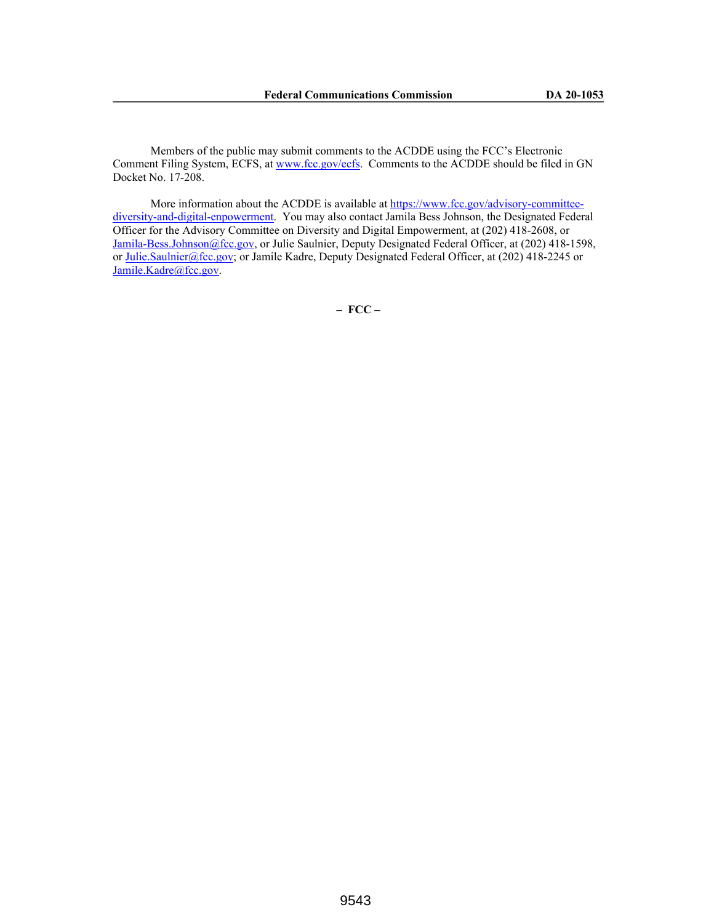Members of the public may submit comments to the ACDDE using the FCC's Electronic Comment Filing System, ECFS, at www.fcc.gov/ecfs. Comments to the ACDDE should be filed in GN Docket No. 17-208.

More information about the ACDDE is available at https://www.fcc.gov/advisory-committeediversity-and-digital-enpowerment. You may also contact Jamila Bess Johnson, the Designated Federal Officer for the Advisory Committee on Diversity and Digital Empowerment, at (202) 418-2608, or Jamila-Bess.Johnson@fcc.gov, or Julie Saulnier, Deputy Designated Federal Officer, at (202) 418-1598, or Julie.Saulnier@fcc.gov; or Jamile Kadre, Deputy Designated Federal Officer, at (202) 418-2245 or Jamile.Kadre@fcc.gov.

**– FCC –**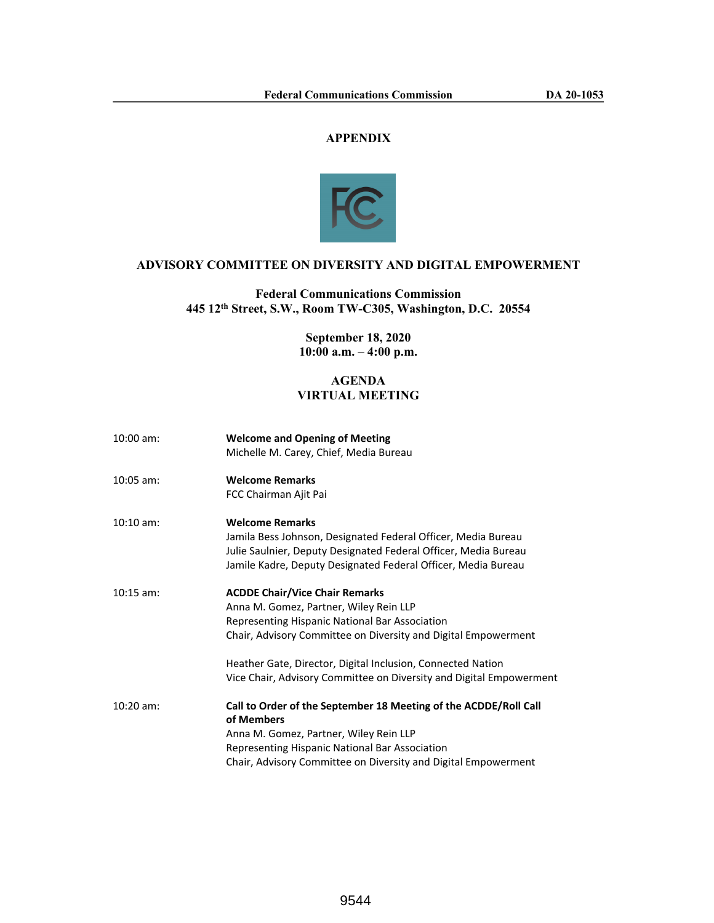# **APPENDIX**



## **ADVISORY COMMITTEE ON DIVERSITY AND DIGITAL EMPOWERMENT**

## **Federal Communications Commission 445 12th Street, S.W., Room TW-C305, Washington, D.C. 20554**

## **September 18, 2020 10:00 a.m. – 4:00 p.m.**

#### **AGENDA VIRTUAL MEETING**

| $10:00$ am: | <b>Welcome and Opening of Meeting</b><br>Michelle M. Carey, Chief, Media Bureau                                                                                                                                                                                                                                                           |
|-------------|-------------------------------------------------------------------------------------------------------------------------------------------------------------------------------------------------------------------------------------------------------------------------------------------------------------------------------------------|
| $10:05$ am: | <b>Welcome Remarks</b><br>FCC Chairman Ajit Pai                                                                                                                                                                                                                                                                                           |
| $10:10$ am: | <b>Welcome Remarks</b><br>Jamila Bess Johnson, Designated Federal Officer, Media Bureau<br>Julie Saulnier, Deputy Designated Federal Officer, Media Bureau<br>Jamile Kadre, Deputy Designated Federal Officer, Media Bureau                                                                                                               |
| $10:15$ am: | <b>ACDDE Chair/Vice Chair Remarks</b><br>Anna M. Gomez, Partner, Wiley Rein LLP<br>Representing Hispanic National Bar Association<br>Chair, Advisory Committee on Diversity and Digital Empowerment<br>Heather Gate, Director, Digital Inclusion, Connected Nation<br>Vice Chair, Advisory Committee on Diversity and Digital Empowerment |
| $10:20$ am: | Call to Order of the September 18 Meeting of the ACDDE/Roll Call<br>of Members<br>Anna M. Gomez, Partner, Wiley Rein LLP<br>Representing Hispanic National Bar Association<br>Chair, Advisory Committee on Diversity and Digital Empowerment                                                                                              |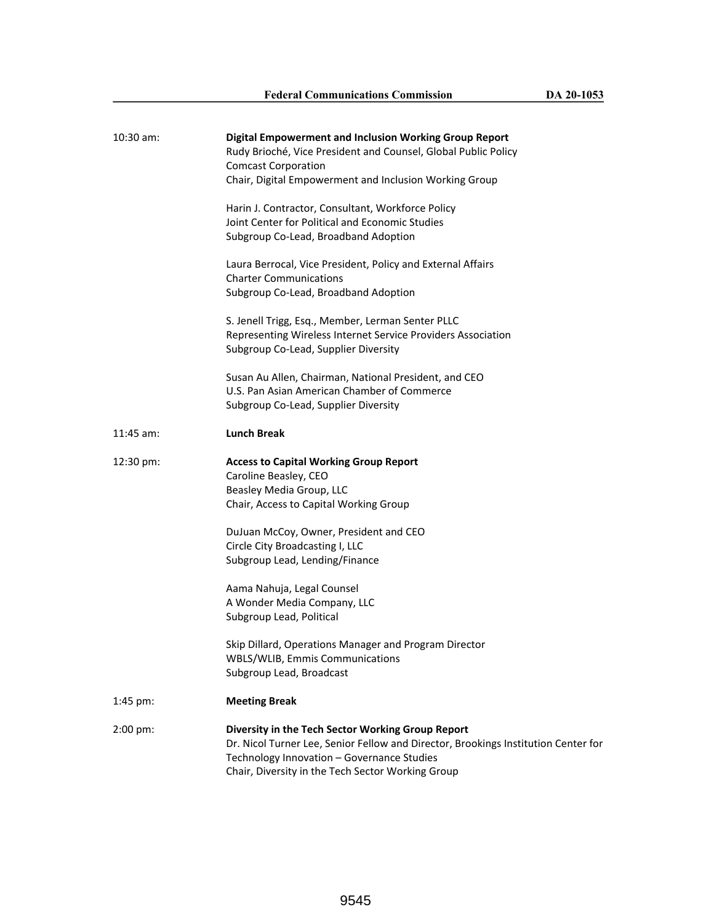| 10:30 am:            | <b>Digital Empowerment and Inclusion Working Group Report</b><br>Rudy Brioché, Vice President and Counsel, Global Public Policy<br><b>Comcast Corporation</b><br>Chair, Digital Empowerment and Inclusion Working Group<br>Harin J. Contractor, Consultant, Workforce Policy<br>Joint Center for Political and Economic Studies<br>Subgroup Co-Lead, Broadband Adoption<br>Laura Berrocal, Vice President, Policy and External Affairs<br><b>Charter Communications</b><br>Subgroup Co-Lead, Broadband Adoption<br>S. Jenell Trigg, Esq., Member, Lerman Senter PLLC<br>Representing Wireless Internet Service Providers Association<br>Subgroup Co-Lead, Supplier Diversity<br>Susan Au Allen, Chairman, National President, and CEO<br>U.S. Pan Asian American Chamber of Commerce<br>Subgroup Co-Lead, Supplier Diversity |
|----------------------|------------------------------------------------------------------------------------------------------------------------------------------------------------------------------------------------------------------------------------------------------------------------------------------------------------------------------------------------------------------------------------------------------------------------------------------------------------------------------------------------------------------------------------------------------------------------------------------------------------------------------------------------------------------------------------------------------------------------------------------------------------------------------------------------------------------------------|
| $11:45$ am:          | <b>Lunch Break</b>                                                                                                                                                                                                                                                                                                                                                                                                                                                                                                                                                                                                                                                                                                                                                                                                           |
| $12:30 \text{ pm}$ : | <b>Access to Capital Working Group Report</b><br>Caroline Beasley, CEO<br>Beasley Media Group, LLC<br>Chair, Access to Capital Working Group<br>DuJuan McCoy, Owner, President and CEO<br>Circle City Broadcasting I, LLC<br>Subgroup Lead, Lending/Finance<br>Aama Nahuja, Legal Counsel<br>A Wonder Media Company, LLC<br>Subgroup Lead, Political<br>Skip Dillard, Operations Manager and Program Director<br>WBLS/WLIB, Emmis Communications<br>Subgroup Lead, Broadcast                                                                                                                                                                                                                                                                                                                                                 |
| $1:45 \text{ pm}$ :  | <b>Meeting Break</b>                                                                                                                                                                                                                                                                                                                                                                                                                                                                                                                                                                                                                                                                                                                                                                                                         |
| $2:00 \text{ pm}$ :  | Diversity in the Tech Sector Working Group Report<br>Dr. Nicol Turner Lee, Senior Fellow and Director, Brookings Institution Center for<br>Technology Innovation - Governance Studies<br>Chair, Diversity in the Tech Sector Working Group                                                                                                                                                                                                                                                                                                                                                                                                                                                                                                                                                                                   |